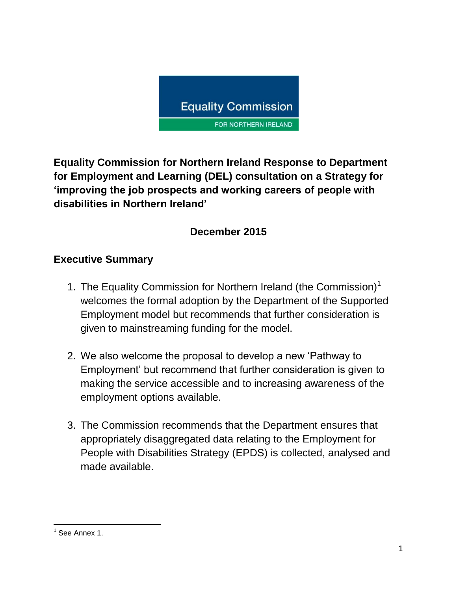

**Equality Commission for Northern Ireland Response to Department for Employment and Learning (DEL) consultation on a Strategy for 'improving the job prospects and working careers of people with disabilities in Northern Ireland'**

# **December 2015**

#### **Executive Summary**

- 1. The Equality Commission for Northern Ireland (the Commission)<sup>1</sup> welcomes the formal adoption by the Department of the Supported Employment model but recommends that further consideration is given to mainstreaming funding for the model.
- 2. We also welcome the proposal to develop a new 'Pathway to Employment' but recommend that further consideration is given to making the service accessible and to increasing awareness of the employment options available.
- 3. The Commission recommends that the Department ensures that appropriately disaggregated data relating to the Employment for People with Disabilities Strategy (EPDS) is collected, analysed and made available.

 1 See Annex 1.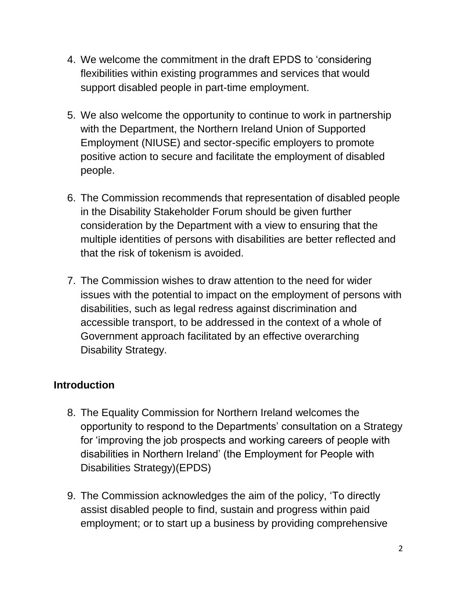- 4. We welcome the commitment in the draft EPDS to 'considering flexibilities within existing programmes and services that would support disabled people in part-time employment.
- 5. We also welcome the opportunity to continue to work in partnership with the Department, the Northern Ireland Union of Supported Employment (NIUSE) and sector-specific employers to promote positive action to secure and facilitate the employment of disabled people.
- 6. The Commission recommends that representation of disabled people in the Disability Stakeholder Forum should be given further consideration by the Department with a view to ensuring that the multiple identities of persons with disabilities are better reflected and that the risk of tokenism is avoided.
- 7. The Commission wishes to draw attention to the need for wider issues with the potential to impact on the employment of persons with disabilities, such as legal redress against discrimination and accessible transport, to be addressed in the context of a whole of Government approach facilitated by an effective overarching Disability Strategy.

# **Introduction**

- 8. The Equality Commission for Northern Ireland welcomes the opportunity to respond to the Departments' consultation on a Strategy for 'improving the job prospects and working careers of people with disabilities in Northern Ireland' (the Employment for People with Disabilities Strategy)(EPDS)
- 9. The Commission acknowledges the aim of the policy, 'To directly assist disabled people to find, sustain and progress within paid employment; or to start up a business by providing comprehensive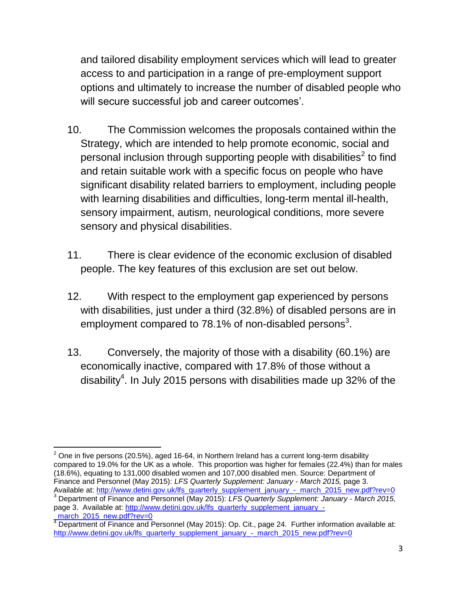and tailored disability employment services which will lead to greater access to and participation in a range of pre-employment support options and ultimately to increase the number of disabled people who will secure successful job and career outcomes'.

- 10. The Commission welcomes the proposals contained within the Strategy, which are intended to help promote economic, social and personal inclusion through supporting people with disabilities<sup>2</sup> to find and retain suitable work with a specific focus on people who have significant disability related barriers to employment, including people with learning disabilities and difficulties, long-term mental ill-health, sensory impairment, autism, neurological conditions, more severe sensory and physical disabilities.
- 11. There is clear evidence of the economic exclusion of disabled people. The key features of this exclusion are set out below.
- 12. With respect to the employment gap experienced by persons with disabilities, just under a third (32.8%) of disabled persons are in employment compared to 78.1% of non-disabled persons<sup>3</sup>.
- 13. Conversely, the majority of those with a disability (60.1%) are economically inactive, compared with 17.8% of those without a disability<sup>4</sup>. In July 2015 persons with disabilities made up 32% of the

 $\overline{\phantom{a}}$  $2$  One in five persons (20.5%), aged 16-64, in Northern Ireland has a current long-term disability compared to 19.0% for the UK as a whole. This proportion was higher for females (22.4%) than for males (18.6%), equating to 131,000 disabled women and 107,000 disabled men. Source: Department of Finance and Personnel (May 2015): *LFS Quarterly Supplement: January - March 2015,* page 3. Available at: [http://www.detini.gov.uk/lfs\\_quarterly\\_supplement\\_january\\_-\\_march\\_2015\\_new.pdf?rev=0](http://www.detini.gov.uk/lfs_quarterly_supplement_january_-_march_2015_new.pdf?rev=0)

<sup>3</sup> Department of Finance and Personnel (May 2015): *LFS Quarterly Supplement: January - March 2015,* page 3. Available at: [http://www.detini.gov.uk/lfs\\_quarterly\\_supplement\\_january\\_-](http://www.detini.gov.uk/lfs_quarterly_supplement_january_-_march_2015_new.pdf?rev=0) [\\_march\\_2015\\_new.pdf?rev=0](http://www.detini.gov.uk/lfs_quarterly_supplement_january_-_march_2015_new.pdf?rev=0) 

 $4$  Department of Finance and Personnel (May 2015): Op. Cit., page 24. Further information available at: [http://www.detini.gov.uk/lfs\\_quarterly\\_supplement\\_january\\_-\\_march\\_2015\\_new.pdf?rev=0](http://www.detini.gov.uk/lfs_quarterly_supplement_january_-_march_2015_new.pdf?rev=0)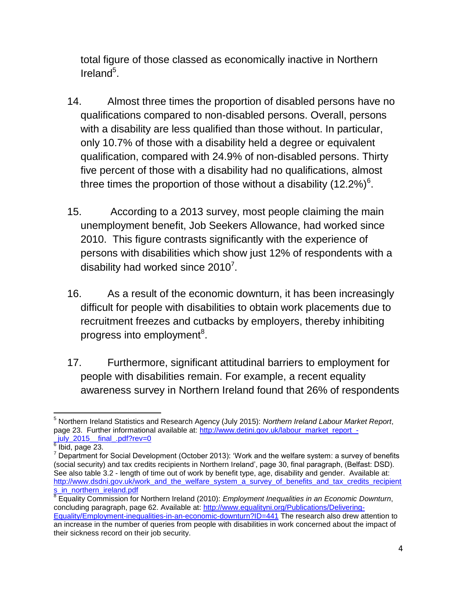total figure of those classed as economically inactive in Northern Ireland<sup>5</sup>.

- 14. Almost three times the proportion of disabled persons have no qualifications compared to non-disabled persons. Overall, persons with a disability are less qualified than those without. In particular, only 10.7% of those with a disability held a degree or equivalent qualification, compared with 24.9% of non-disabled persons. Thirty five percent of those with a disability had no qualifications, almost three times the proportion of those without a disability (12.2%)<sup>6</sup>.
- 15. According to a 2013 survey, most people claiming the main unemployment benefit, Job Seekers Allowance, had worked since 2010. This figure contrasts significantly with the experience of persons with disabilities which show just 12% of respondents with a disability had worked since 2010<sup>7</sup>.
- 16. As a result of the economic downturn, it has been increasingly difficult for people with disabilities to obtain work placements due to recruitment freezes and cutbacks by employers, thereby inhibiting progress into employment $^8$ .
- 17. Furthermore, significant attitudinal barriers to employment for people with disabilities remain. For example, a recent equality awareness survey in Northern Ireland found that 26% of respondents

 $\overline{a}$ <sup>5</sup> Northern Ireland Statistics and Research Agency (July 2015): *Northern Ireland Labour Market Report*, page 23. Further informational available at: [http://www.detini.gov.uk/labour\\_market\\_report\\_-](http://www.detini.gov.uk/labour_market_report_-_july_2015__final_.pdf?rev=0) \_<mark>july\_2015\_\_final\_.pdf?rev=0</mark><br><sup>6</sup> Ibid, page 23.

 $7$  Department for Social Development (October 2013): 'Work and the welfare system: a survey of benefits (social security) and tax credits recipients in Northern Ireland', page 30, final paragraph, (Belfast: DSD). See also table 3.2 - length of time out of work by benefit type, age, disability and gender. Available at: [http://www.dsdni.gov.uk/work\\_and\\_the\\_welfare\\_system\\_a\\_survey\\_of\\_benefits\\_and\\_tax\\_credits\\_recipient](http://www.dsdni.gov.uk/work_and_the_welfare_system_a_survey_of_benefits_and_tax_credits_recipients_in_northern_ireland.pdf) [s\\_in\\_northern\\_ireland.pdf](http://www.dsdni.gov.uk/work_and_the_welfare_system_a_survey_of_benefits_and_tax_credits_recipients_in_northern_ireland.pdf)

<sup>8</sup> Equality Commission for Northern Ireland (2010): *Employment Inequalities in an Economic Downturn*, concluding paragraph, page 62. Available at: [http://www.equalityni.org/Publications/Delivering-](http://www.equalityni.org/Publications/Delivering-Equality/Employment-inequalities-in-an-economic-downturn?ID=441)[Equality/Employment-inequalities-in-an-economic-downturn?ID=441](http://www.equalityni.org/Publications/Delivering-Equality/Employment-inequalities-in-an-economic-downturn?ID=441) The research also drew attention to an increase in the number of queries from people with disabilities in work concerned about the impact of their sickness record on their job security.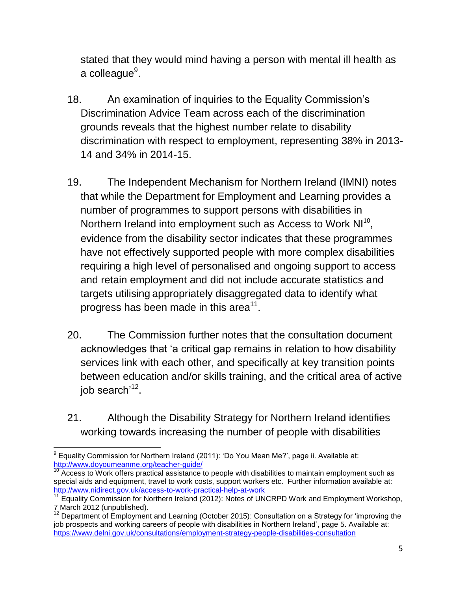stated that they would mind having a person with mental ill health as a colleague $^9$ .

- 18. An examination of inquiries to the Equality Commission's Discrimination Advice Team across each of the discrimination grounds reveals that the highest number relate to disability discrimination with respect to employment, representing 38% in 2013- 14 and 34% in 2014-15.
- 19. The Independent Mechanism for Northern Ireland (IMNI) notes that while the Department for Employment and Learning provides a number of programmes to support persons with disabilities in Northern Ireland into employment such as Access to Work  $NI<sup>10</sup>$ , evidence from the disability sector indicates that these programmes have not effectively supported people with more complex disabilities requiring a high level of personalised and ongoing support to access and retain employment and did not include accurate statistics and targets utilising appropriately disaggregated data to identify what progress has been made in this area $^{\mathsf{11}}$ .
- 20. The Commission further notes that the consultation document acknowledges that 'a critical gap remains in relation to how disability services link with each other, and specifically at key transition points between education and/or skills training, and the critical area of active job search'<sup>12</sup>.
- 21. Although the Disability Strategy for Northern Ireland identifies working towards increasing the number of people with disabilities

 $\overline{\phantom{a}}$  $^9$  Equality Commission for Northern Ireland (2011): 'Do You Mean Me?', page ii. Available at: <http://www.doyoumeanme.org/teacher-guide/>

 $10$  Access to Work offers practical assistance to people with disabilities to maintain employment such as special aids and equipment, travel to work costs, support workers etc. Further information available at: <http://www.nidirect.gov.uk/access-to-work-practical-help-at-work>

<sup>&</sup>lt;sup>11</sup> Equality Commission for Northern Ireland (2012): Notes of UNCRPD Work and Employment Workshop, 7 March 2012 (unpublished).

<sup>&</sup>lt;sup>12</sup> Department of Employment and Learning (October 2015): Consultation on a Strategy for 'improving the job prospects and working careers of people with disabilities in Northern Ireland', page 5. Available at: <https://www.delni.gov.uk/consultations/employment-strategy-people-disabilities-consultation>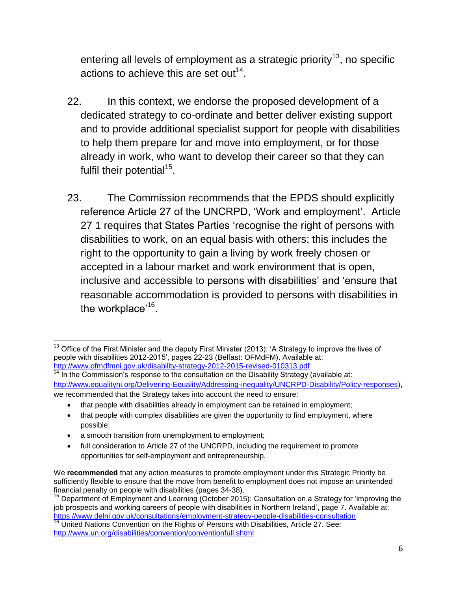entering all levels of employment as a strategic priority<sup>13</sup>, no specific actions to achieve this are set out $^{14}$ .

- 22. In this context, we endorse the proposed development of a dedicated strategy to co-ordinate and better deliver existing support and to provide additional specialist support for people with disabilities to help them prepare for and move into employment, or for those already in work, who want to develop their career so that they can fulfil their potential<sup>15</sup>.
- 23. The Commission recommends that the EPDS should explicitly reference Article 27 of the UNCRPD, 'Work and employment'. Article 27 1 requires that States Parties 'recognise the right of persons with disabilities to work, on an equal basis with others; this includes the right to the opportunity to gain a living by work freely chosen or accepted in a labour market and work environment that is open, inclusive and accessible to persons with disabilities' and 'ensure that reasonable accommodation is provided to persons with disabilities in the workplace'<sup>16</sup>.

- that people with disabilities already in employment can be retained in employment;
- that people with complex disabilities are given the opportunity to find employment, where possible;
- a smooth transition from unemployment to employment;
- full consideration to Article 27 of the UNCRPD, including the requirement to promote opportunities for self-employment and entrepreneurship.

 $\overline{a}$  $13$  Office of the First Minister and the deputy First Minister (2013): 'A Strategy to improve the lives of people with disabilities 2012-2015', pages 22-23 (Belfast: OFMdFM). Available at: <http://www.ofmdfmni.gov.uk/disability-strategy-2012-2015-revised-010313.pdf>

 $14$  In the Commission's response to the consultation on the Disability Strategy (available at: [http://www.equalityni.org/Delivering-Equality/Addressing-inequality/UNCRPD-Disability/Policy-responses\)](http://www.equalityni.org/Delivering-Equality/Addressing-inequality/UNCRPD-Disability/Policy-responses), we recommended that the Strategy takes into account the need to ensure:

We **recommended** that any action measures to promote employment under this Strategic Priority be sufficiently flexible to ensure that the move from benefit to employment does not impose an unintended financial penalty on people with disabilities (pages 34-38).

 $15$  Department of Employment and Learning (October 2015): Consultation on a Strategy for 'improving the job prospects and working careers of people with disabilities in Northern Ireland', page 7. Available at: <https://www.delni.gov.uk/consultations/employment-strategy-people-disabilities-consultation>

 $16$  United Nations Convention on the Rights of Persons with Disabilities, Article 27. See: <http://www.un.org/disabilities/convention/conventionfull.shtml>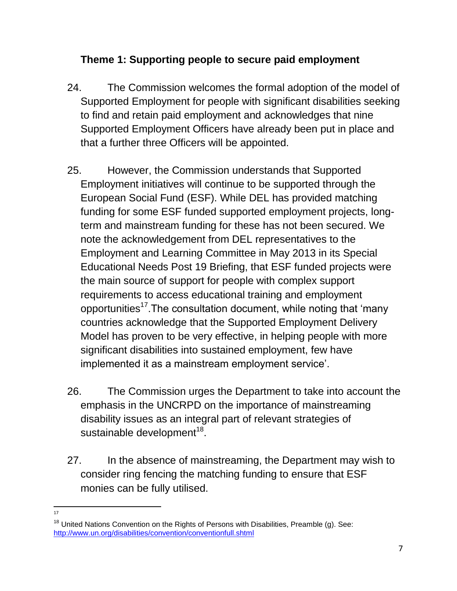### **Theme 1: Supporting people to secure paid employment**

- 24. The Commission welcomes the formal adoption of the model of Supported Employment for people with significant disabilities seeking to find and retain paid employment and acknowledges that nine Supported Employment Officers have already been put in place and that a further three Officers will be appointed.
- 25. However, the Commission understands that Supported Employment initiatives will continue to be supported through the European Social Fund (ESF). While DEL has provided matching funding for some ESF funded supported employment projects, longterm and mainstream funding for these has not been secured. We note the acknowledgement from DEL representatives to the Employment and Learning Committee in May 2013 in its Special Educational Needs Post 19 Briefing, that ESF funded projects were the main source of support for people with complex support requirements to access educational training and employment opportunities<sup>17</sup>.The consultation document, while noting that 'many countries acknowledge that the Supported Employment Delivery Model has proven to be very effective, in helping people with more significant disabilities into sustained employment, few have implemented it as a mainstream employment service'.
- 26. The Commission urges the Department to take into account the emphasis in the UNCRPD on the importance of mainstreaming disability issues as an integral part of relevant strategies of sustainable development $^{18}$ .
- 27. In the absence of mainstreaming, the Department may wish to consider ring fencing the matching funding to ensure that ESF monies can be fully utilised.

<sup>17</sup> 

 $18$  United Nations Convention on the Rights of Persons with Disabilities, Preamble (g). See: <http://www.un.org/disabilities/convention/conventionfull.shtml>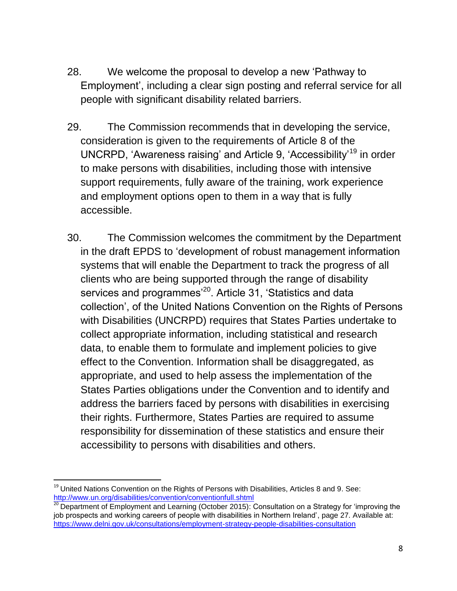- 28. We welcome the proposal to develop a new 'Pathway to Employment', including a clear sign posting and referral service for all people with significant disability related barriers.
- 29. The Commission recommends that in developing the service, consideration is given to the requirements of Article 8 of the UNCRPD, 'Awareness raising' and Article 9, 'Accessibility'<sup>19</sup> in order to make persons with disabilities, including those with intensive support requirements, fully aware of the training, work experience and employment options open to them in a way that is fully accessible.
- 30. The Commission welcomes the commitment by the Department in the draft EPDS to 'development of robust management information systems that will enable the Department to track the progress of all clients who are being supported through the range of disability services and programmes<sup>'20</sup>. Article 31, 'Statistics and data collection', of the United Nations Convention on the Rights of Persons with Disabilities (UNCRPD) requires that States Parties undertake to collect appropriate information, including statistical and research data, to enable them to formulate and implement policies to give effect to the Convention. Information shall be disaggregated, as appropriate, and used to help assess the implementation of the States Parties obligations under the Convention and to identify and address the barriers faced by persons with disabilities in exercising their rights. Furthermore, States Parties are required to assume responsibility for dissemination of these statistics and ensure their accessibility to persons with disabilities and others.

 $\overline{a}$  $19$  United Nations Convention on the Rights of Persons with Disabilities, Articles 8 and 9. See: <http://www.un.org/disabilities/convention/conventionfull.shtml>

<sup>&</sup>lt;sup>20</sup> Department of Employment and Learning (October 2015): Consultation on a Strategy for 'improving the job prospects and working careers of people with disabilities in Northern Ireland', page 27. Available at: <https://www.delni.gov.uk/consultations/employment-strategy-people-disabilities-consultation>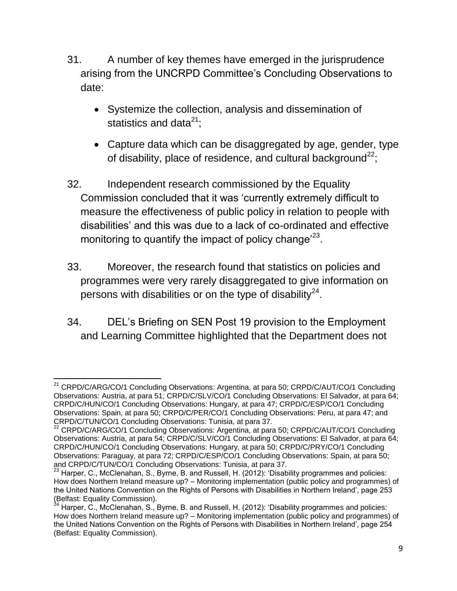- 31. A number of key themes have emerged in the jurisprudence arising from the UNCRPD Committee's Concluding Observations to date:
	- Systemize the collection, analysis and dissemination of statistics and data $^{21}$ ;
	- Capture data which can be disaggregated by age, gender, type of disability, place of residence, and cultural background<sup>22</sup>;
- 32. Independent research commissioned by the Equality Commission concluded that it was 'currently extremely difficult to measure the effectiveness of public policy in relation to people with disabilities' and this was due to a lack of co-ordinated and effective monitoring to quantify the impact of policy change $^{23}$ .
- 33. Moreover, the research found that statistics on policies and programmes were very rarely disaggregated to give information on persons with disabilities or on the type of disability<sup>24</sup>.
- 34. DEL's Briefing on SEN Post 19 provision to the Employment and Learning Committee highlighted that the Department does not

 $\overline{\phantom{a}}$ <sup>21</sup> CRPD/C/ARG/CO/1 Concluding Observations: Argentina, at para 50; CRPD/C/AUT/CO/1 Concluding Observations: Austria, at para 51; CRPD/C/SLV/CO/1 Concluding Observations: El Salvador, at para 64; CRPD/C/HUN/CO/1 Concluding Observations: Hungary, at para 47; CRPD/C/ESP/CO/1 Concluding Observations: Spain, at para 50; CRPD/C/PER/CO/1 Concluding Observations: Peru, at para 47; and CRPD/C/TUN/CO/1 Concluding Observations: Tunisia, at para 37.

<sup>22</sup> CRPD/C/ARG/CO/1 Concluding Observations: Argentina, at para 50; CRPD/C/AUT/CO/1 Concluding Observations: Austria, at para 54; CRPD/C/SLV/CO/1 Concluding Observations: El Salvador, at para 64; CRPD/C/HUN/CO/1 Concluding Observations: Hungary, at para 50; CRPD/C/PRY/CO/1 Concluding Observations: Paraguay, at para 72; CRPD/C/ESP/CO/1 Concluding Observations: Spain, at para 50; and CRPD/C/TUN/CO/1 Concluding Observations: Tunisia, at para 37.

 $^{23}$  Harper, C., McClenahan, S., Byrne, B. and Russell, H. (2012): 'Disability programmes and policies: How does Northern Ireland measure up? – Monitoring implementation (public policy and programmes) of the United Nations Convention on the Rights of Persons with Disabilities in Northern Ireland', page 253 (Belfast: Equality Commission).

 $^{24}$  Harper, C., McClenahan, S., Byrne, B. and Russell, H. (2012): 'Disability programmes and policies: How does Northern Ireland measure up? – Monitoring implementation (public policy and programmes) of the United Nations Convention on the Rights of Persons with Disabilities in Northern Ireland', page 254 (Belfast: Equality Commission).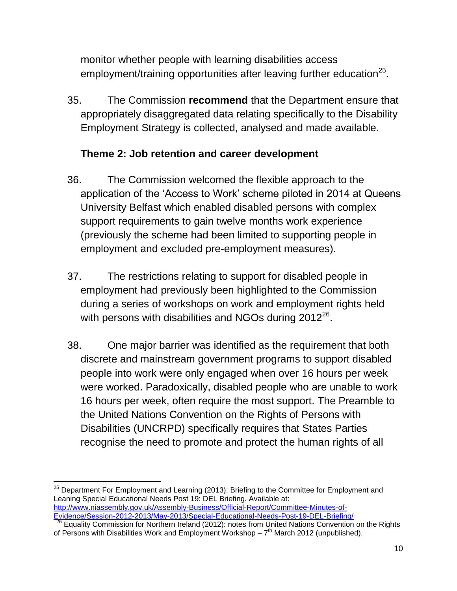monitor whether people with learning disabilities access employment/training opportunities after leaving further education $^{25}$ .

35. The Commission **recommend** that the Department ensure that appropriately disaggregated data relating specifically to the Disability Employment Strategy is collected, analysed and made available.

# **Theme 2: Job retention and career development**

- 36. The Commission welcomed the flexible approach to the application of the 'Access to Work' scheme piloted in 2014 at Queens University Belfast which enabled disabled persons with complex support requirements to gain twelve months work experience (previously the scheme had been limited to supporting people in employment and excluded pre-employment measures).
- 37. The restrictions relating to support for disabled people in employment had previously been highlighted to the Commission during a series of workshops on work and employment rights held with persons with disabilities and NGOs during 2012 $^{26}$ .
- 38. One major barrier was identified as the requirement that both discrete and mainstream government programs to support disabled people into work were only engaged when over 16 hours per week were worked. Paradoxically, disabled people who are unable to work 16 hours per week, often require the most support. The Preamble to the United Nations Convention on the Rights of Persons with Disabilities (UNCRPD) specifically requires that States Parties recognise the need to promote and protect the human rights of all

 $\overline{a}$  $^{25}$  Department For Employment and Learning (2013): Briefing to the Committee for Employment and Leaning Special Educational Needs Post 19: DEL Briefing. Available at: [http://www.niassembly.gov.uk/Assembly-Business/Official-Report/Committee-Minutes-of-](http://www.niassembly.gov.uk/Assembly-Business/Official-Report/Committee-Minutes-of-Evidence/Session-2012-2013/May-2013/Special-Educational-Needs-Post-19-DEL-Briefing/)[Evidence/Session-2012-2013/May-2013/Special-Educational-Needs-Post-19-DEL-Briefing/](http://www.niassembly.gov.uk/Assembly-Business/Official-Report/Committee-Minutes-of-Evidence/Session-2012-2013/May-2013/Special-Educational-Needs-Post-19-DEL-Briefing/)

 $^{26}$  Equality Commission for Northern Ireland (2012): notes from United Nations Convention on the Rights of Persons with Disabilities Work and Employment Workshop –  $7<sup>th</sup>$  March 2012 (unpublished).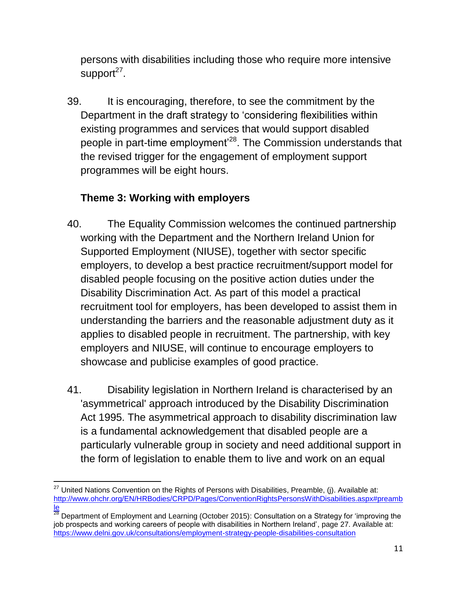persons with disabilities including those who require more intensive support<sup>27</sup>.

39. It is encouraging, therefore, to see the commitment by the Department in the draft strategy to 'considering flexibilities within existing programmes and services that would support disabled people in part-time employment'<sup>28</sup>. The Commission understands that the revised trigger for the engagement of employment support programmes will be eight hours.

# **Theme 3: Working with employers**

- 40. The Equality Commission welcomes the continued partnership working with the Department and the Northern Ireland Union for Supported Employment (NIUSE), together with sector specific employers, to develop a best practice recruitment/support model for disabled people focusing on the positive action duties under the Disability Discrimination Act. As part of this model a practical recruitment tool for employers, has been developed to assist them in understanding the barriers and the reasonable adjustment duty as it applies to disabled people in recruitment. The partnership, with key employers and NIUSE, will continue to encourage employers to showcase and publicise examples of good practice.
- 41. Disability legislation in Northern Ireland is characterised by an 'asymmetrical' approach introduced by the Disability Discrimination Act 1995. The asymmetrical approach to disability discrimination law is a fundamental acknowledgement that disabled people are a particularly vulnerable group in society and need additional support in the form of legislation to enable them to live and work on an equal

 $\overline{a}$  $27$  United Nations Convention on the Rights of Persons with Disabilities, Preamble, (j). Available at: [http://www.ohchr.org/EN/HRBodies/CRPD/Pages/ConventionRightsPersonsWithDisabilities.aspx#preamb](http://www.ohchr.org/EN/HRBodies/CRPD/Pages/ConventionRightsPersonsWithDisabilities.aspx#preamble) [le](http://www.ohchr.org/EN/HRBodies/CRPD/Pages/ConventionRightsPersonsWithDisabilities.aspx#preamble)

 $^{\overline{28}}$  Department of Employment and Learning (October 2015): Consultation on a Strategy for 'improving the job prospects and working careers of people with disabilities in Northern Ireland', page 27. Available at: <https://www.delni.gov.uk/consultations/employment-strategy-people-disabilities-consultation>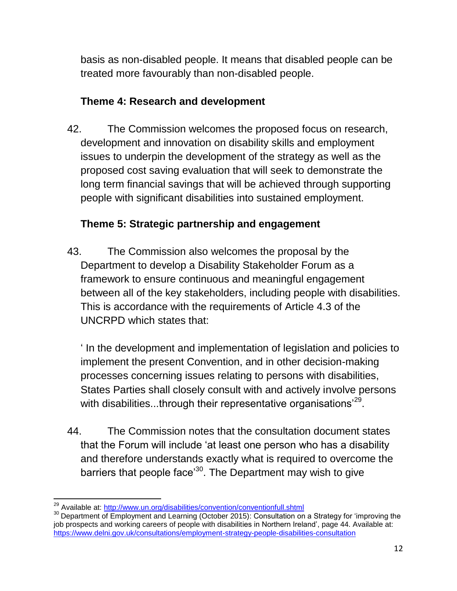basis as non-disabled people. It means that disabled people can be treated more favourably than non-disabled people.

# **Theme 4: Research and development**

42. The Commission welcomes the proposed focus on research, development and innovation on disability skills and employment issues to underpin the development of the strategy as well as the proposed cost saving evaluation that will seek to demonstrate the long term financial savings that will be achieved through supporting people with significant disabilities into sustained employment.

# **Theme 5: Strategic partnership and engagement**

43. The Commission also welcomes the proposal by the Department to develop a Disability Stakeholder Forum as a framework to ensure continuous and meaningful engagement between all of the key stakeholders, including people with disabilities. This is accordance with the requirements of Article 4.3 of the UNCRPD which states that:

' In the development and implementation of legislation and policies to implement the present Convention, and in other decision-making processes concerning issues relating to persons with disabilities, States Parties shall closely consult with and actively involve persons with disabilities...through their representative organisations' $^{29}$ .

44. The Commission notes that the consultation document states that the Forum will include 'at least one person who has a disability and therefore understands exactly what is required to overcome the barriers that people face'<sup>30</sup>. The Department may wish to give

 $\overline{\phantom{a}}$ <sup>29</sup> Available at:<http://www.un.org/disabilities/convention/conventionfull.shtml>

<sup>&</sup>lt;sup>30</sup> Department of Employment and Learning (October 2015): Consultation on a Strategy for 'improving the job prospects and working careers of people with disabilities in Northern Ireland', page 44. Available at: <https://www.delni.gov.uk/consultations/employment-strategy-people-disabilities-consultation>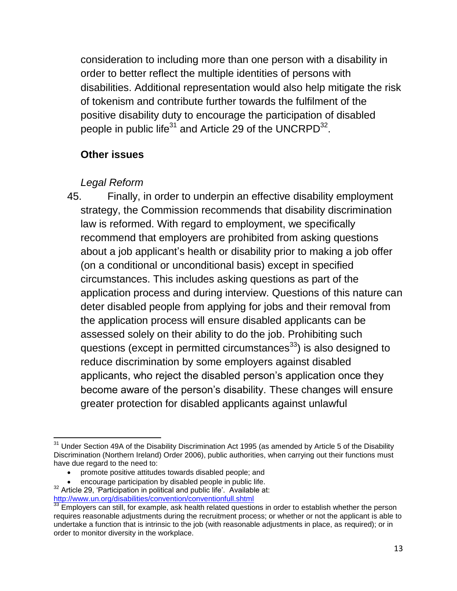consideration to including more than one person with a disability in order to better reflect the multiple identities of persons with disabilities. Additional representation would also help mitigate the risk of tokenism and contribute further towards the fulfilment of the positive disability duty to encourage the participation of disabled people in public life<sup>31</sup> and Article 29 of the UNCRPD<sup>32</sup>.

### **Other issues**

# *Legal Reform*

45. Finally, in order to underpin an effective disability employment strategy, the Commission recommends that disability discrimination law is reformed. With regard to employment, we specifically recommend that employers are prohibited from asking questions about a job applicant's health or disability prior to making a job offer (on a conditional or unconditional basis) except in specified circumstances. This includes asking questions as part of the application process and during interview. Questions of this nature can deter disabled people from applying for jobs and their removal from the application process will ensure disabled applicants can be assessed solely on their ability to do the job. Prohibiting such questions (except in permitted circumstances $^{33}$ ) is also designed to reduce discrimination by some employers against disabled applicants, who reject the disabled person's application once they become aware of the person's disability. These changes will ensure greater protection for disabled applicants against unlawful

 $\overline{a}$  $31$  Under Section 49A of the Disability Discrimination Act 1995 (as amended by Article 5 of the Disability Discrimination (Northern Ireland) Order 2006), public authorities, when carrying out their functions must have due regard to the need to:

promote positive attitudes towards disabled people; and

encourage participation by disabled people in public life. <sup>32</sup> Article 29, 'Participation in political and public life'. Available at: <http://www.un.org/disabilities/convention/conventionfull.shtml>

Employers can still, for example, ask health related questions in order to establish whether the person requires reasonable adjustments during the recruitment process; or whether or not the applicant is able to undertake a function that is intrinsic to the job (with reasonable adjustments in place, as required); or in order to monitor diversity in the workplace.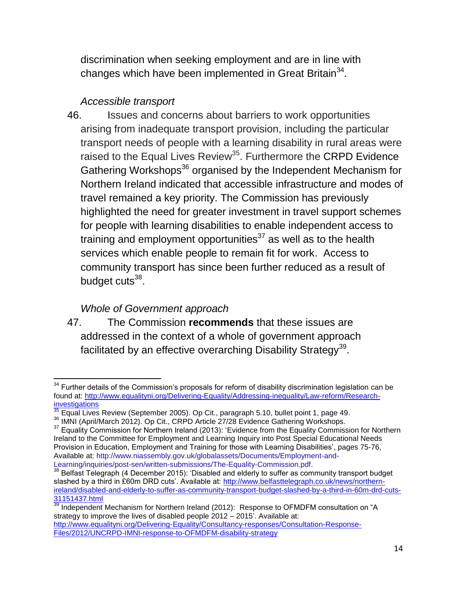discrimination when seeking employment and are in line with changes which have been implemented in Great Britain $^{34}$ .

#### *Accessible transport*

46. Issues and concerns about barriers to work opportunities arising from inadequate transport provision, including the particular transport needs of people with a learning disability in rural areas were raised to the Equal Lives Review<sup>35</sup>. Furthermore the CRPD Evidence Gathering Workshops<sup>36</sup> organised by the Independent Mechanism for Northern Ireland indicated that accessible infrastructure and modes of travel remained a key priority. The Commission has previously highlighted the need for greater investment in travel support schemes for people with learning disabilities to enable independent access to training and employment opportunities<sup>37</sup> as well as to the health services which enable people to remain fit for work. Access to community transport has since been further reduced as a result of budget cuts<sup>38</sup>.

#### *Whole of Government approach*

47. The Commission **recommends** that these issues are addressed in the context of a whole of government approach facilitated by an effective overarching Disability Strategy $^{39}.$ 

 $\overline{\phantom{a}}$  $^\mathrm{34}$  Further details of the Commission's proposals for reform of disability discrimination legislation can be found at: [http://www.equalityni.org/Delivering-Equality/Addressing-inequality/Law-reform/Research](http://www.equalityni.org/Delivering-Equality/Addressing-inequality/Law-reform/Research-investigations)[investigations](http://www.equalityni.org/Delivering-Equality/Addressing-inequality/Law-reform/Research-investigations)

<sup>35</sup> Equal Lives Review (September 2005). Op Cit., paragraph 5.10, bullet point 1, page 49.

<sup>36</sup> IMNI (April/March 2012). Op Cit., CRPD Article 27/28 Evidence Gathering Workshops.

<sup>&</sup>lt;sup>37</sup> Equality Commission for Northern Ireland (2013): 'Evidence from the Equality Commission for Northern Ireland to the Committee for Employment and Learning Inquiry into Post Special Educational Needs Provision in Education, Employment and Training for those with Learning Disabilities', pages 75-76, Available at: [http://www.niassembly.gov.uk/globalassets/Documents/Employment-and-](http://www.niassembly.gov.uk/globalassets/Documents/Employment-and-Learning/inquiries/post-sen/written-submissions/The-Equality-Commission.pdf)[Learning/inquiries/post-sen/written-submissions/The-Equality-Commission.pdf.](http://www.niassembly.gov.uk/globalassets/Documents/Employment-and-Learning/inquiries/post-sen/written-submissions/The-Equality-Commission.pdf)

<sup>38</sup> Belfast Telegraph (4 December 2015): 'Disabled and elderly to suffer as community transport budget slashed by a third in £60m DRD cuts'. Available at: [http://www.belfasttelegraph.co.uk/news/northern](http://www.belfasttelegraph.co.uk/news/northern-ireland/disabled-and-elderly-to-suffer-as-community-transport-budget-slashed-by-a-third-in-60m-drd-cuts-31151437.html)[ireland/disabled-and-elderly-to-suffer-as-community-transport-budget-slashed-by-a-third-in-60m-drd-cuts-](http://www.belfasttelegraph.co.uk/news/northern-ireland/disabled-and-elderly-to-suffer-as-community-transport-budget-slashed-by-a-third-in-60m-drd-cuts-31151437.html)[31151437.html](http://www.belfasttelegraph.co.uk/news/northern-ireland/disabled-and-elderly-to-suffer-as-community-transport-budget-slashed-by-a-third-in-60m-drd-cuts-31151437.html)

Independent Mechanism for Northern Ireland (2012): Response to OFMDFM consultation on "A strategy to improve the lives of disabled people 2012 – 2015'. Available at: [http://www.equalityni.org/Delivering-Equality/Consultancy-responses/Consultation-Response-](http://www.equalityni.org/Delivering-Equality/Consultancy-responses/Consultation-Response-Files/2012/UNCRPD-IMNI-response-to-OFMDFM-disability-strategy)[Files/2012/UNCRPD-IMNI-response-to-OFMDFM-disability-strategy](http://www.equalityni.org/Delivering-Equality/Consultancy-responses/Consultation-Response-Files/2012/UNCRPD-IMNI-response-to-OFMDFM-disability-strategy)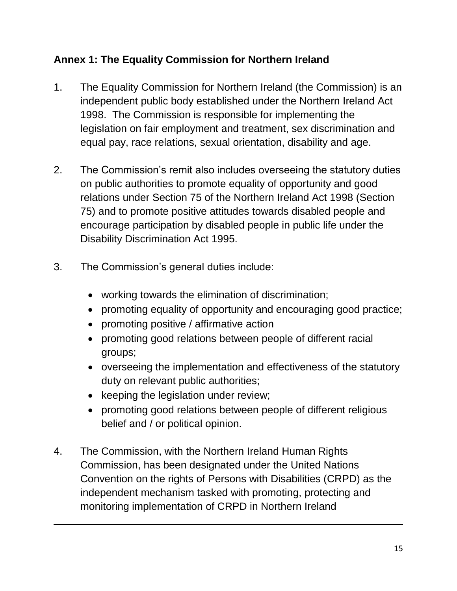### **Annex 1: The Equality Commission for Northern Ireland**

- 1. The Equality Commission for Northern Ireland (the Commission) is an independent public body established under the Northern Ireland Act 1998. The Commission is responsible for implementing the legislation on fair employment and treatment, sex discrimination and equal pay, race relations, sexual orientation, disability and age.
- 2. The Commission's remit also includes overseeing the statutory duties on public authorities to promote equality of opportunity and good relations under Section 75 of the Northern Ireland Act 1998 (Section 75) and to promote positive attitudes towards disabled people and encourage participation by disabled people in public life under the Disability Discrimination Act 1995.
- 3. The Commission's general duties include:
	- working towards the elimination of discrimination;
	- promoting equality of opportunity and encouraging good practice;
	- promoting positive / affirmative action
	- promoting good relations between people of different racial groups;
	- overseeing the implementation and effectiveness of the statutory duty on relevant public authorities;
	- keeping the legislation under review;

 $\overline{a}$ 

- promoting good relations between people of different religious belief and / or political opinion.
- 4. The Commission, with the Northern Ireland Human Rights Commission, has been designated under the United Nations Convention on the rights of Persons with Disabilities (CRPD) as the independent mechanism tasked with promoting, protecting and monitoring implementation of CRPD in Northern Ireland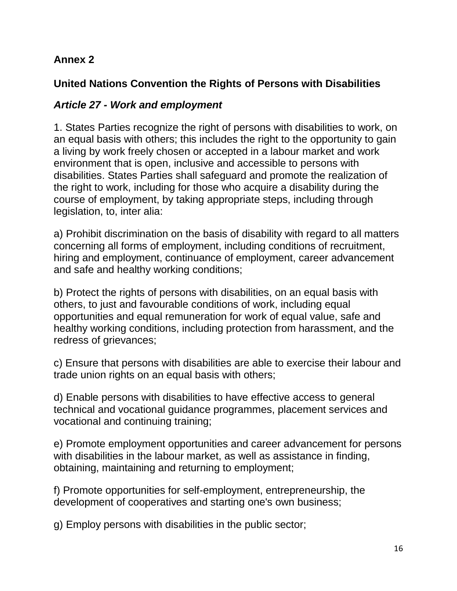### **Annex 2**

### **United Nations Convention the Rights of Persons with Disabilities**

#### *Article 27 - Work and employment*

1. States Parties recognize the right of persons with disabilities to work, on an equal basis with others; this includes the right to the opportunity to gain a living by work freely chosen or accepted in a labour market and work environment that is open, inclusive and accessible to persons with disabilities. States Parties shall safeguard and promote the realization of the right to work, including for those who acquire a disability during the course of employment, by taking appropriate steps, including through legislation, to, inter alia:

a) Prohibit discrimination on the basis of disability with regard to all matters concerning all forms of employment, including conditions of recruitment, hiring and employment, continuance of employment, career advancement and safe and healthy working conditions;

b) Protect the rights of persons with disabilities, on an equal basis with others, to just and favourable conditions of work, including equal opportunities and equal remuneration for work of equal value, safe and healthy working conditions, including protection from harassment, and the redress of grievances;

c) Ensure that persons with disabilities are able to exercise their labour and trade union rights on an equal basis with others;

d) Enable persons with disabilities to have effective access to general technical and vocational guidance programmes, placement services and vocational and continuing training;

e) Promote employment opportunities and career advancement for persons with disabilities in the labour market, as well as assistance in finding, obtaining, maintaining and returning to employment;

f) Promote opportunities for self-employment, entrepreneurship, the development of cooperatives and starting one's own business;

g) Employ persons with disabilities in the public sector;